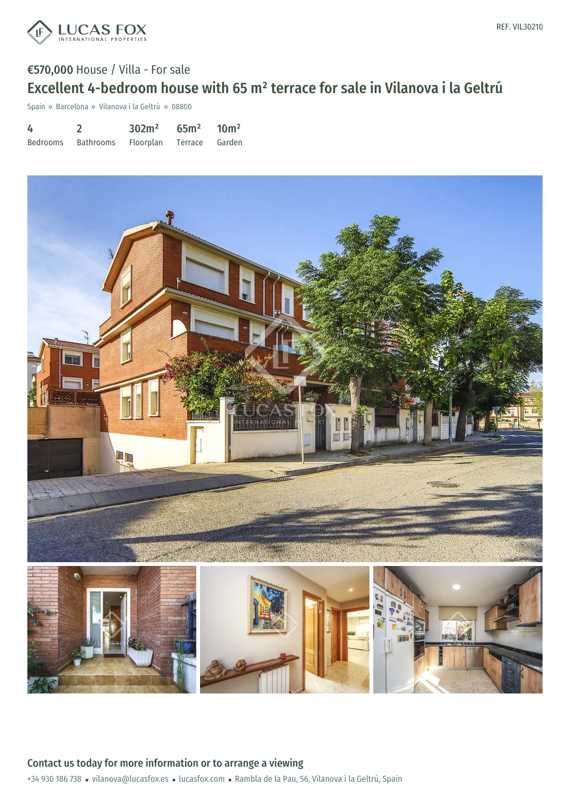

## €570,000 House / Villa - For sale Excellent 4-bedroom house with 65 m² terrace for sale in Vilanova i la Geltrú

Spain » Barcelona » Vilanova i la Geltrú » 08800

| 4        |           | 302m <sup>2</sup> | $65m^2$ 10m <sup>2</sup> |        |
|----------|-----------|-------------------|--------------------------|--------|
| Bedrooms | Bathrooms | Floorplan         | Terrace                  | Garden |

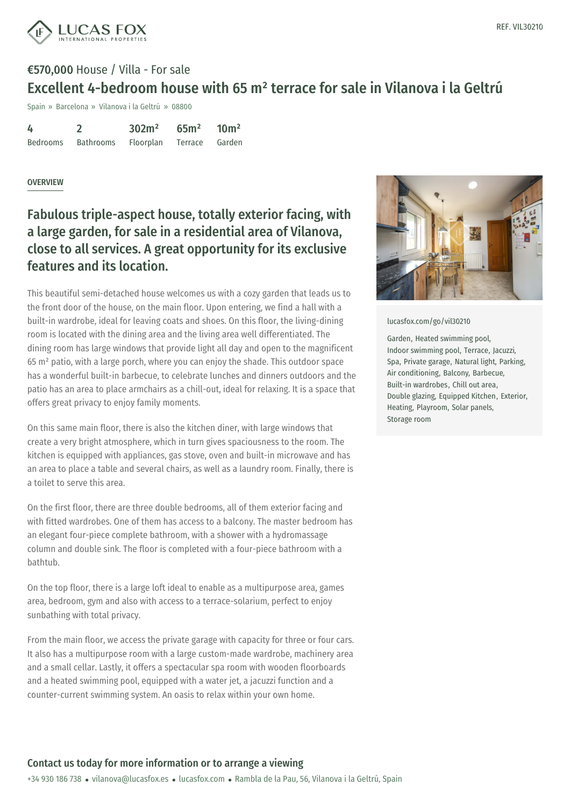REF. VIL30210



# €570,000 House / Villa - For sale Excellent 4-bedroom house with 65 m² terrace for sale in Vilanova i la Geltrú

Spain » Barcelona » Vilanova i la Geltrú » 08800

| 4        |           | 302m <sup>2</sup> | 65 <sup>m²</sup> | 10 <sup>m²</sup> |
|----------|-----------|-------------------|------------------|------------------|
| Bedrooms | Bathrooms | Floorplan         | Terrace Garden   |                  |

### OVERVIEW

### Fabulous triple-aspect house, totally exterior facing, with a large garden, for sale in a residential area of Vilanova, close to all services. A great opportunity for its exclusive features and its location.

This beautiful semi-detached house welcomes us with a cozy garden that leads us to the front door of the house, on the main floor. Upon entering, we find a hall with a built-in wardrobe, ideal for leaving coats and shoes. On this floor, the living-dining room is located with the dining area and the living area well differentiated. The dining room has large windows that provide light all day and open to the magnificent 65 m² patio, with a large porch, where you can enjoy the shade. This outdoor space has a wonderful built-in barbecue, to celebrate lunches and dinners outdoors and the patio has an area to place armchairs as a chill-out, ideal for relaxing. It is a space that offers great privacy to enjoy family moments.

On this same main floor, there is also the kitchen diner, with large windows that create a very bright atmosphere, which in turn gives spaciousness to the room. The kitchen is equipped with appliances, gas stove, oven and built-in microwave and has an area to place a table and several chairs, as well as a laundry room. Finally, there is a toilet to serve this area.

On the first floor, there are three double bedrooms, all of them exterior facing and with fitted wardrobes. One of them has access to a balcony. The master bedroom has an elegant four-piece complete bathroom, with a shower with a hydromassage column and double sink. The floor is completed with a four-piece bathroom with a bathtub.

On the top floor, there is a large loft ideal to enable as a multipurpose area, games area, bedroom, gym and also [with](mailto:vilanova@lucasfox.es) access to a [terrac](https://www.lucasfox.com)e-solarium, perfect to enjoy sunbathing with total privacy.

From the main floor, we access the private garage with capacity for three or four cars. It also has a multipurpose room with a large custom-made wardrobe, machinery area and a small cellar. Lastly, it offers a spectacular spa room with wooden floorboards and a heated swimming pool, equipped with a water jet, a jacuzzi function and a counter-current swimming system. An oasis to relax within your own home.



#### [lucasfox.com/go/vil30210](https://www.lucasfox.com/go/vil30210)

Garden, Heated swimming pool, Indoor swimming pool, Terrace, Jacuzzi, Spa, Private garage, Natural light, Parking, Air conditioning, Balcony, Barbecue, Built-in wardrobes, Chill out area, Double glazing, Equipped Kitchen, Exterior, Heating, Playroom, Solar panels, Storage room

### Contact us today for more information or to arrange a viewing

+34 930 186 738 · vilanova@lucasfox.es · lucasfox.com · Rambla de la Pau, 56, Vilanova i la Geltrú, Spain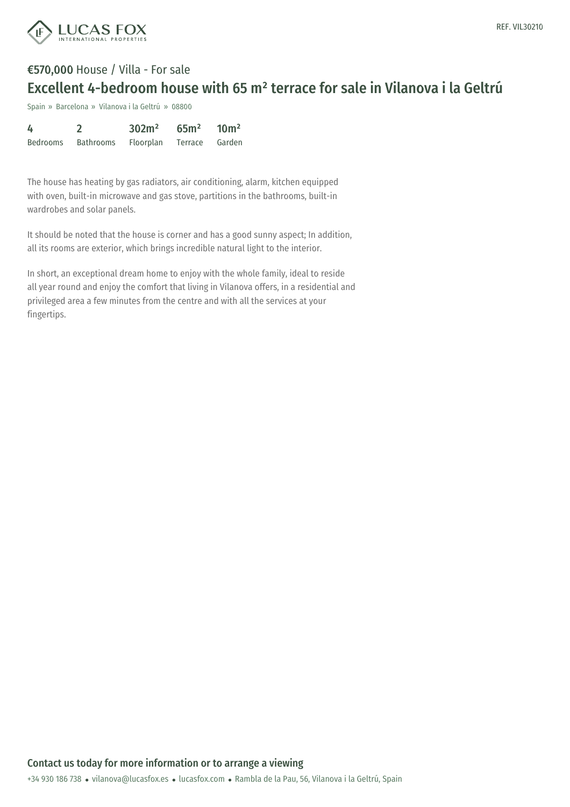

## €570,000 House / Villa - For sale Excellent 4-bedroom house with 65 m² terrace for sale in Vilanova i la Geltrú

Spain » Barcelona » Vilanova i la Geltrú » 08800

| 4        |           | 302m <sup>2</sup> | 65m <sup>2</sup> | 10 <sup>m²</sup> |
|----------|-----------|-------------------|------------------|------------------|
| Bedrooms | Bathrooms | Floorplan         | Terrace          | Garden           |

The house has heating by gas radiators, air conditioning, alarm, kitchen equipped with oven, built-in microwave and gas stove, partitions in the bathrooms, built-in wardrobes and solar panels.

It should be noted that the house is corner and has a good sunny aspect; In addition, all its rooms are exterior, which brings incredible natural light to the interior.

In short, an exceptional dream home to enjoy with the whole family, ideal to reside all year round and enjoy the comfort that living in Vilanova offers, in a residential and privileged area a few minutes from the centre and with all the services at your fingertips.